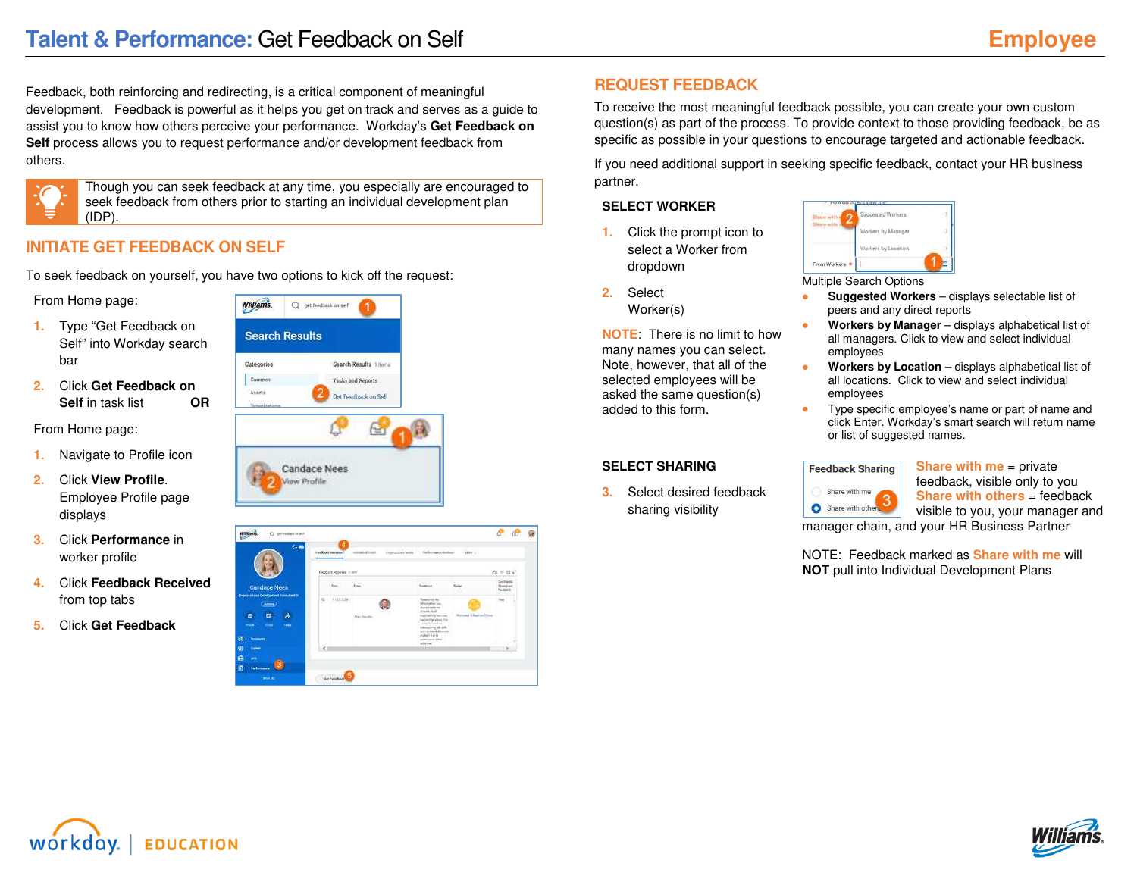Feedback, both reinforcing and redirecting, is a critical component of meaningful development. Feedback is powerful as it helps you get on track and serves as a guide to assist you to know how others perceive your performance. Workday's **Get Feedback on Self** process allows you to request performance and/or development feedback from others.



Though you can seek feedback at any time, you especially are encouraged to seek feedback from others prior to starting an individual development plan (IDP).

# **INITIATE GET FEEDBACK ON SELF**

To seek feedback on yourself, you have two options to kick off the request:

From Home page:

- **1.** Type "Get Feedback on Self" into Workday search bar
- **2.** Click **Get Feedback on Self** in task list **OR**

From Home page:

- **1.** Navigate to Profile icon
- **2.** Click **View Profile**. Employee Profile page displays
- **3.** Click **Performance** in worker profile
- **4.** Click **Feedback Received** from top tabs
- **5.** Click **Get Feedback**



| $\circ$                                                                                                                    |                     | <b>I seduce innered</b>  | Distancement Seven<br>motivated Gracia | Performance American                                                                                                                                                                                                                                     | <b>New L</b>                     |                                                    |
|----------------------------------------------------------------------------------------------------------------------------|---------------------|--------------------------|----------------------------------------|----------------------------------------------------------------------------------------------------------------------------------------------------------------------------------------------------------------------------------------------------------|----------------------------------|----------------------------------------------------|
|                                                                                                                            |                     | Fordsjok Roomvill II ken |                                        |                                                                                                                                                                                                                                                          |                                  | 日下田心                                               |
| <b>Candace Nees</b>                                                                                                        |                     |                          | $f_{\text{max}}$                       | Textures                                                                                                                                                                                                                                                 |                                  | Dealtheats.<br><b>Disembert</b><br><b>Reideart</b> |
| <b>Ingenishme Obviopines Consistent to</b><br><b>Chang</b><br>云<br>朵<br>8<br>سند<br>Taxable 1<br>Posts.<br><b>Burnmars</b> | $\overline{\alpha}$ | $+1453338$               | Mark Emilen                            | Thanks for the<br>information con-<br>shared wells for<br>Armedia Guide<br><b>Empowered Services</b><br>Network play from<br>ments Work Holland<br>Akmening you city<br>your presentation and<br>Analysis of them been<br>participate on the<br>mit-help | Westware & Brasil an Others<br>. | $\sim$                                             |
| <b>Corner</b>                                                                                                              | $\epsilon$          |                          |                                        | $\sim$                                                                                                                                                                                                                                                   |                                  |                                                    |
| -                                                                                                                          |                     |                          |                                        |                                                                                                                                                                                                                                                          |                                  |                                                    |

# **REQUEST FEEDBACK**

To receive the most meaningful feedback possible, you can create your own custom question(s) as part of the process. To provide context to those providing feedback, be as specific as possible in your questions to encourage targeted and actionable feedback.

If you need additional support in seeking specific feedback, contact your HR business partner.

## **SELECT WORKER**

- **1.** Click the prompt icon to select a Worker from dropdown
- **2.** Select
	- Worker(s)

**NOTE**: There is no limit to how many names you can select. Note, however, that all of the selected employees will be asked the same question(s) added to this form.

## **SELECT SHARING**

**3.** Select desired feedback sharing visibility

Workers by Location From Workers

Multiple Search Options

- **Suggested Workers**  displays selectable list of peers and any direct reports
- **Workers by Manager**  displays alphabetical list of all managers. Click to view and select individual employees
- **Workers by Location** displays alphabetical list of all locations. Click to view and select individual employees
- Type specific employee's name or part of name and click Enter. Workday's smart search will return name or list of suggested names.

## **Feedback Sharing** Share with me

Share with other

**Share with me** = private feedback, visible only to you **Share with others** = feedback visible to you, your manager and

manager chain, and your HR Business Partner

NOTE: Feedback marked as **Share with me** will **NOT** pull into Individual Development Plans